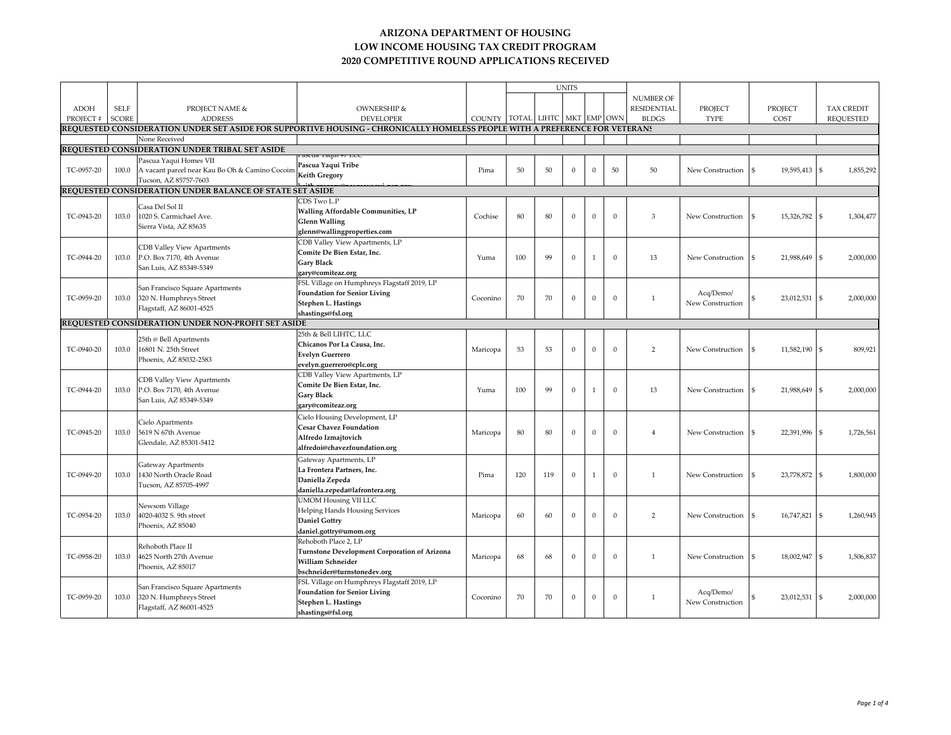|             |              |                                                          |                                                                                                                             |                                |     |     | <b>UNITS</b> |              |          |                    |                  |                                 |                             |
|-------------|--------------|----------------------------------------------------------|-----------------------------------------------------------------------------------------------------------------------------|--------------------------------|-----|-----|--------------|--------------|----------|--------------------|------------------|---------------------------------|-----------------------------|
|             |              |                                                          |                                                                                                                             |                                |     |     |              |              |          | NUMBER OF          |                  |                                 |                             |
| <b>ADOH</b> | <b>SELF</b>  | PROJECT NAME &                                           | OWNERSHIP &                                                                                                                 |                                |     |     |              |              |          | <b>RESIDENTIAL</b> | PROJECT          | PROJECT                         | <b>TAX CREDIT</b>           |
| PROJECT #   | <b>SCORE</b> | <b>ADDRESS</b>                                           | <b>DEVELOPER</b>                                                                                                            | COUNTY TOTAL LIHTC MKT EMP OWN |     |     |              |              |          | <b>BLDGS</b>       | <b>TYPE</b>      | COST                            | <b>REQUESTED</b>            |
|             |              |                                                          | REQUESTED CONSIDERATION UNDER SET ASIDE FOR SUPPORTIVE HOUSING - CHRONICALLY HOMELESS PEOPLE WITH A PREFERENCE FOR VETERANS |                                |     |     |              |              |          |                    |                  |                                 |                             |
|             |              | None Received                                            |                                                                                                                             |                                |     |     |              |              |          |                    |                  |                                 |                             |
|             |              | REQUESTED CONSIDERATION UNDER TRIBAL SET ASIDE           |                                                                                                                             |                                |     |     |              |              |          |                    |                  |                                 |                             |
|             |              |                                                          |                                                                                                                             |                                |     |     |              |              |          |                    |                  |                                 |                             |
|             |              | Pascua Yaqui Homes VII                                   | Pascua Yaqui Tribe                                                                                                          |                                |     |     |              |              |          |                    |                  |                                 |                             |
| TC-0957-20  | 100.0        | A vacant parcel near Kau Bo Oh & Camino Cocoim           | <b>Keith Gregory</b>                                                                                                        | Pima                           | 50  | 50  | $\mathbf{0}$ | $\theta$     | 50       | 50                 | New Construction | 19,595,413 \$<br>$\mathfrak{S}$ | 1,855,292                   |
|             |              | Tucson, AZ 85757-7603                                    |                                                                                                                             |                                |     |     |              |              |          |                    |                  |                                 |                             |
|             |              | REQUESTED CONSIDERATION UNDER BALANCE OF STATE SET ASIDE |                                                                                                                             |                                |     |     |              |              |          |                    |                  |                                 |                             |
|             |              | Casa Del Sol II                                          | CDS Two L.P                                                                                                                 |                                |     |     |              |              |          |                    |                  |                                 |                             |
| TC-0943-20  | 103.0        | 1020 S. Carmichael Ave.                                  | Walling Affordable Communities, LP                                                                                          | Cochise                        | 80  | 80  | $\Omega$     | $\Omega$     | $\Omega$ | 3                  | New Construction | 15,326,782<br>-S                | 1,304,477<br>\$             |
|             |              | Sierra Vista, AZ 85635                                   | <b>Glenn Walling</b>                                                                                                        |                                |     |     |              |              |          |                    |                  |                                 |                             |
|             |              |                                                          | glenn@wallingproperties.com                                                                                                 |                                |     |     |              |              |          |                    |                  |                                 |                             |
|             |              | <b>CDB Valley View Apartments</b>                        | CDB Valley View Apartments, LP                                                                                              |                                |     |     |              |              |          |                    |                  |                                 |                             |
|             |              |                                                          | Comite De Bien Estar, Inc.                                                                                                  |                                |     | 99  | $\Omega$     |              | $\Omega$ |                    |                  |                                 |                             |
| TC-0944-20  | 103.0        | P.O. Box 7170, 4th Avenue                                | Gary Black                                                                                                                  | Yuma                           | 100 |     |              |              |          | 13                 | New Construction | 21,988,649<br><sup>\$</sup>     | 2,000,000<br>\$             |
|             |              | San Luis, AZ 85349-5349                                  | gary@comiteaz.org                                                                                                           |                                |     |     |              |              |          |                    |                  |                                 |                             |
|             |              |                                                          | FSL Village on Humphreys Flagstaff 2019, LP                                                                                 |                                |     |     |              |              |          |                    |                  |                                 |                             |
|             |              | San Francisco Square Apartments                          | <b>Foundation for Senior Living</b>                                                                                         |                                |     |     |              |              |          |                    | Acq/Demo/        |                                 |                             |
| TC-0959-20  | 103.0        | 320 N. Humphreys Street                                  | Stephen L. Hastings                                                                                                         | Coconino                       | 70  | 70  | $\Omega$     | $\theta$     | $\Omega$ | $\mathbf{1}$       | New Construction | 23,012,531                      | 2,000,000<br>\$             |
|             |              | Flagstaff, AZ 86001-4525                                 | shastings@fsl.org                                                                                                           |                                |     |     |              |              |          |                    |                  |                                 |                             |
|             |              | REQUESTED CONSIDERATION UNDER NON-PROFIT SET ASIDE       |                                                                                                                             |                                |     |     |              |              |          |                    |                  |                                 |                             |
|             |              |                                                          | 25th & Bell LIHTC, LLC                                                                                                      |                                |     |     |              |              |          |                    |                  |                                 |                             |
|             |              | 25th @ Bell Apartments                                   | Chicanos Por La Causa, Inc.                                                                                                 |                                |     |     |              |              |          |                    |                  |                                 |                             |
| TC-0940-20  | 103.0        | 16801 N. 25th Street                                     | <b>Evelyn Guerrero</b>                                                                                                      | Maricopa                       | 53  | 53  | $\Omega$     | $\theta$     | $\Omega$ | $\overline{2}$     | New Construction | 11,582,190 \$                   | 809,921                     |
|             |              | Phoenix, AZ 85032-2583                                   |                                                                                                                             |                                |     |     |              |              |          |                    |                  |                                 |                             |
|             |              |                                                          | evelyn.guerrero@cplc.org                                                                                                    |                                |     |     |              |              |          |                    |                  |                                 |                             |
|             |              | CDB Valley View Apartments                               | CDB Valley View Apartments, LP                                                                                              |                                |     |     |              |              |          |                    |                  |                                 |                             |
| TC-0944-20  | 103.0        | P.O. Box 7170, 4th Avenue                                | Comite De Bien Estar, Inc.                                                                                                  | Yuma                           | 100 | 99  | $\Omega$     | $\mathbf{1}$ | $\Omega$ | 13                 | New Construction | 21,988,649<br>-S                | 2,000,000                   |
|             |              | San Luis, AZ 85349-5349                                  | Gary Black                                                                                                                  |                                |     |     |              |              |          |                    |                  |                                 |                             |
|             |              |                                                          | gary@comiteaz.org                                                                                                           |                                |     |     |              |              |          |                    |                  |                                 |                             |
|             |              | Cielo Apartments<br>5619 N 67th Avenue                   | Cielo Housing Development, LP                                                                                               |                                |     |     |              |              |          |                    |                  |                                 |                             |
| TC-0945-20  | 103.0        |                                                          | <b>Cesar Chavez Foundation</b>                                                                                              | Maricopa                       | 80  | 80  | $\Omega$     | $\Omega$     | $\Omega$ | $\overline{4}$     | New Construction | 22,391,996                      | 1,726,561<br>\$             |
|             |              | Glendale, AZ 85301-5412                                  | Alfredo Izmajtovich                                                                                                         |                                |     |     |              |              |          |                    |                  |                                 |                             |
|             |              |                                                          | alfredoi@chavezfoundation.org                                                                                               |                                |     |     |              |              |          |                    |                  |                                 |                             |
|             |              |                                                          | Gateway Apartments, LP                                                                                                      |                                |     |     |              |              |          |                    |                  |                                 |                             |
|             |              | Gateway Apartments                                       | La Frontera Partners, Inc.                                                                                                  |                                |     |     |              |              |          |                    |                  |                                 |                             |
| TC-0949-20  | 103.0        | 1430 North Oracle Road                                   | Daniella Zepeda                                                                                                             | Pima                           | 120 | 119 | $\Omega$     |              | $\Omega$ | $\mathbf{1}$       | New Construction | 23,778,872                      | 1,800,000<br>\$             |
|             |              | Tucson, AZ 85705-4997                                    | daniella.zepeda@lafrontera.org                                                                                              |                                |     |     |              |              |          |                    |                  |                                 |                             |
|             |              |                                                          | <b>UMOM Housing VII LLC</b>                                                                                                 |                                |     |     |              |              |          |                    |                  |                                 |                             |
|             |              | Newsom Village                                           | <b>Helping Hands Housing Services</b>                                                                                       |                                |     |     |              |              |          |                    |                  |                                 |                             |
| TC-0954-20  | 103.0        | 4020-4032 S. 9th street                                  | <b>Daniel Gottry</b>                                                                                                        | Maricopa                       | 60  | 60  | $\Omega$     | $\Omega$     | $\Omega$ | $\overline{2}$     | New Construction | 16,747,821                      | 1,260,945<br>$\mathfrak{S}$ |
|             |              | Phoenix, AZ 85040                                        | daniel.gottry@umom.org                                                                                                      |                                |     |     |              |              |          |                    |                  |                                 |                             |
|             |              |                                                          | Rehoboth Place 2. LP                                                                                                        |                                |     |     |              |              |          |                    |                  |                                 |                             |
|             |              | Rehoboth Place II                                        |                                                                                                                             |                                |     |     |              |              |          |                    |                  |                                 |                             |
| TC-0958-20  | 103.0        | 4625 North 27th Avenue                                   | Turnstone Development Corporation of Arizona<br>William Schneider                                                           | Maricopa                       | 68  | 68  | $\Omega$     | $\Omega$     | $\Omega$ | $\mathbf{1}$       | New Construction | 18,002,947<br>£,                | 1,506,837                   |
|             |              | Phoenix, AZ 85017                                        |                                                                                                                             |                                |     |     |              |              |          |                    |                  |                                 |                             |
|             |              |                                                          | bschneider@turnstonedev.org                                                                                                 |                                |     |     |              |              |          |                    |                  |                                 |                             |
|             |              | San Francisco Square Apartments                          | FSL Village on Humphreys Flagstaff 2019, LP                                                                                 |                                |     |     |              |              |          |                    |                  |                                 |                             |
| TC-0959-20  | 103.0        | 320 N. Humphreys Street                                  | <b>Foundation for Senior Living</b>                                                                                         | Coconino                       | 70  | 70  | $\Omega$     | $\Omega$     | $\Omega$ | $\mathbf{1}$       | Acq/Demo/        | 23,012,531                      | 2,000,000<br>\$             |
|             |              | Flagstaff, AZ 86001-4525                                 | Stephen L. Hastings                                                                                                         |                                |     |     |              |              |          |                    | New Construction |                                 |                             |
|             |              |                                                          | shastings@fsl.org                                                                                                           |                                |     |     |              |              |          |                    |                  |                                 |                             |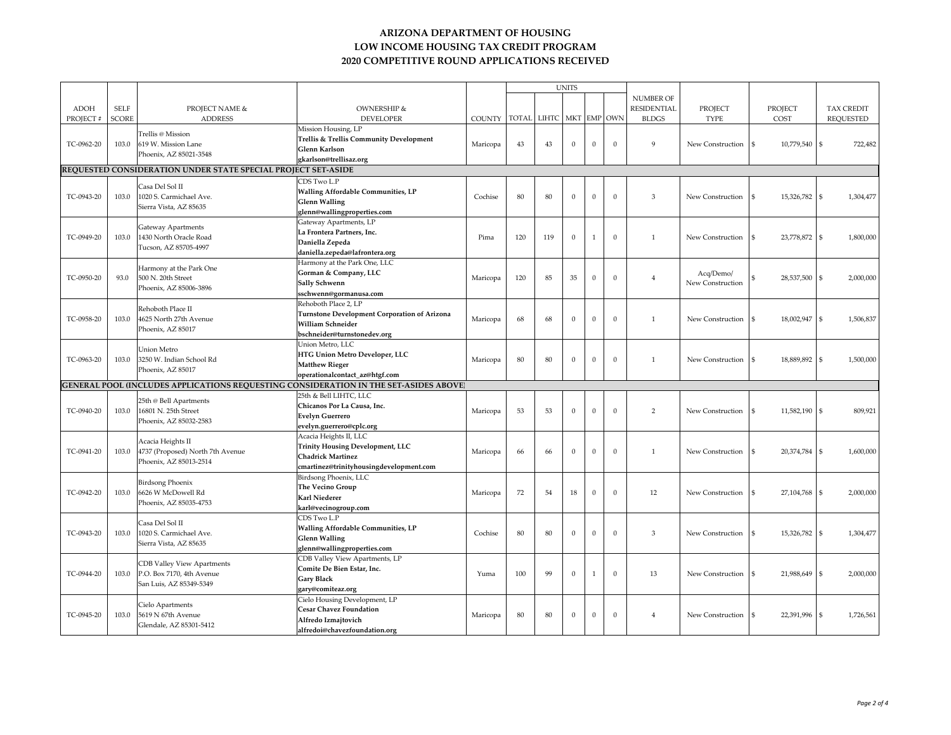|             |              |                                                                                 |                                                                                       | <b>UNITS</b> |              |       |              |              |              |                    |                  |                                     |                             |
|-------------|--------------|---------------------------------------------------------------------------------|---------------------------------------------------------------------------------------|--------------|--------------|-------|--------------|--------------|--------------|--------------------|------------------|-------------------------------------|-----------------------------|
|             |              |                                                                                 |                                                                                       |              |              |       |              |              |              | <b>NUMBER OF</b>   |                  |                                     |                             |
| <b>ADOH</b> | <b>SELF</b>  | <b>PROJECT NAME &amp;</b>                                                       | <b>OWNERSHIP &amp;</b>                                                                |              |              |       |              |              |              | <b>RESIDENTIAL</b> | PROJECT          | PROJECT                             | <b>TAX CREDIT</b>           |
| PROJECT#    | <b>SCORE</b> | <b>ADDRESS</b>                                                                  | <b>DEVELOPER</b>                                                                      | COUNTY       | <b>TOTAL</b> | LIHTC |              |              | MKT EMP OWN  | <b>BLDGS</b>       | <b>TYPE</b>      | COST                                | <b>REQUESTED</b>            |
|             |              |                                                                                 | Mission Housing, LP                                                                   |              |              |       |              |              |              |                    |                  |                                     |                             |
|             |              | Trellis @ Mission                                                               | Trellis & Trellis Community Development                                               |              |              |       |              |              |              | $\mathbf Q$        |                  |                                     |                             |
| TC-0962-20  | 103.0        | 619 W. Mission Lane                                                             | Glenn Karlson                                                                         | Maricopa     | 43           | 43    | $\mathbf{0}$ | $\Omega$     | $\mathbf{0}$ |                    | New Construction | 10,779,540 \$<br>$\mathbf{\hat{s}}$ | 722,482                     |
|             |              | Phoenix, AZ 85021-3548                                                          | gkarlson@trellisaz.org                                                                |              |              |       |              |              |              |                    |                  |                                     |                             |
|             |              | REQUESTED CONSIDERATION UNDER STATE SPECIAL PROJECT SET-ASIDE                   |                                                                                       |              |              |       |              |              |              |                    |                  |                                     |                             |
|             |              |                                                                                 | CDS Two L.P                                                                           |              |              |       |              |              |              |                    |                  |                                     |                             |
|             |              | Casa Del Sol II                                                                 | Walling Affordable Communities, LP                                                    |              |              |       |              |              |              |                    |                  |                                     |                             |
| TC-0943-20  | 103.0        | 1020 S. Carmichael Ave.                                                         | <b>Glenn Walling</b>                                                                  | Cochise      | 80           | 80    | $\mathbf{0}$ | $\Omega$     | $\mathbf{0}$ | 3                  | New Construction | 15,326,782                          | 1,304,477<br>£.             |
|             |              | Sierra Vista, AZ 85635                                                          | glenn@wallingproperties.com                                                           |              |              |       |              |              |              |                    |                  |                                     |                             |
|             |              |                                                                                 | Gateway Apartments, LP                                                                |              |              |       |              |              |              |                    |                  |                                     |                             |
|             |              | Gateway Apartments                                                              | La Frontera Partners, Inc.                                                            |              |              |       |              |              |              |                    |                  |                                     |                             |
| TC-0949-20  | 103.0        | 1430 North Oracle Road                                                          | Daniella Zepeda                                                                       | Pima         | 120          | 119   | $\mathbf{0}$ | $\mathbf{1}$ | $\mathbf{0}$ | $\mathbf{1}$       | New Construction | 23,778,872<br>-S                    | 1,800,000<br>$\mathfrak{S}$ |
|             |              | Tucson, AZ 85705-4997                                                           | daniella.zepeda@lafrontera.org                                                        |              |              |       |              |              |              |                    |                  |                                     |                             |
|             |              |                                                                                 | Harmony at the Park One, LLC                                                          |              |              |       |              |              |              |                    |                  |                                     |                             |
|             |              | Harmony at the Park One                                                         | Gorman & Company, LLC                                                                 |              |              |       |              |              |              |                    | Acq/Demo/        |                                     |                             |
| TC-0950-20  | 93.0         | 500 N. 20th Street                                                              | Sally Schwenn                                                                         | Maricopa     | 120          | 85    | 35           | $\Omega$     | $\mathbf{0}$ | $\overline{4}$     | New Construction | 28,537,500                          | 2,000,000<br>\$             |
|             |              | Phoenix, AZ 85006-3896                                                          | sschwenn@gormanusa.com                                                                |              |              |       |              |              |              |                    |                  |                                     |                             |
|             |              |                                                                                 | Rehoboth Place 2, LP                                                                  |              |              |       |              |              |              |                    |                  |                                     |                             |
|             |              | Rehoboth Place II                                                               | <b>Turnstone Development Corporation of Arizona</b>                                   |              |              |       |              |              |              |                    |                  |                                     |                             |
| TC-0958-20  | 103.0        | 4625 North 27th Avenue                                                          | William Schneider                                                                     | Maricopa     | 68           | 68    | $\mathbf{0}$ | $\Omega$     | $\Omega$     | $\mathbf{1}$       | New Construction | 18,002,947                          | 1,506,837<br>\$             |
|             |              | Phoenix, AZ 85017                                                               | bschneider@turnstonedev.org                                                           |              |              |       |              |              |              |                    |                  |                                     |                             |
|             |              |                                                                                 | Union Metro, LLC                                                                      |              |              |       |              |              |              |                    |                  |                                     |                             |
|             |              | Union Metro                                                                     | <b>HTG Union Metro Developer, LLC</b>                                                 |              |              |       |              |              |              |                    |                  |                                     |                             |
| TC-0963-20  | 103.0        | 3250 W. Indian School Rd                                                        | <b>Matthew Rieger</b>                                                                 | Maricopa     | 80           | 80    | $\mathbf{0}$ | $\Omega$     | $\mathbf{0}$ | $\mathbf{1}$       | New Construction | 18,889,892 \$<br>$\mathbf{\hat{s}}$ | 1,500,000                   |
|             |              | Phoenix, AZ 85017                                                               | operationalcontact_az@htgf.com                                                        |              |              |       |              |              |              |                    |                  |                                     |                             |
|             |              |                                                                                 | GENERAL POOL (INCLUDES APPLICATIONS REQUESTING CONSIDERATION IN THE SET-ASIDES ABOVE) |              |              |       |              |              |              |                    |                  |                                     |                             |
|             |              | 25th @ Bell Apartments<br>16801 N. 25th Street<br>Phoenix, AZ 85032-2583        | 25th & Bell LIHTC, LLC                                                                |              |              |       |              |              |              |                    |                  |                                     |                             |
|             |              |                                                                                 | Chicanos Por La Causa, Inc.                                                           |              | 53           |       |              |              | $\mathbf{0}$ | $\overline{2}$     | New Construction | \$.                                 |                             |
| TC-0940-20  | 103.0        |                                                                                 | <b>Evelyn Guerrero</b>                                                                | Maricopa     |              | 53    | $\mathbf{0}$ | $\mathbf{0}$ |              |                    |                  | 11,582,190                          | 809,921                     |
|             |              |                                                                                 | evelyn.guerrero@cplc.org                                                              |              |              |       |              |              |              |                    |                  |                                     |                             |
|             |              | Acacia Heights II<br>4737 (Proposed) North 7th Avenue<br>Phoenix, AZ 85013-2514 | Acacia Heights II, LLC                                                                |              |              |       |              |              |              |                    |                  |                                     |                             |
| TC-0941-20  | 103.0        |                                                                                 | <b>Trinity Housing Development, LLC</b>                                               |              | 66           | 66    | $\mathbf{0}$ | $\mathbf{0}$ | $\mathbf{0}$ | $\mathbf{1}$       | New Construction | 20,374,784                          | 1,600,000<br>£.             |
|             |              |                                                                                 | <b>Chadrick Martinez</b>                                                              | Maricopa     |              |       |              |              |              |                    |                  |                                     |                             |
|             |              |                                                                                 | cmartinez@trinityhousingdevelopment.com                                               |              |              |       |              |              |              |                    |                  |                                     |                             |
|             |              | <b>Birdsong Phoenix</b>                                                         | Birdsong Phoenix, LLC                                                                 |              |              |       |              |              |              |                    |                  |                                     |                             |
| TC-0942-20  | 103.0        | 6626 W McDowell Rd<br>Phoenix, AZ 85035-4753                                    | The Vecino Group                                                                      | Maricopa     | 72           | 54    | 18           | $\mathbf{0}$ | $\mathbf{0}$ | 12                 | New Construction | 27,104,768                          | 2,000,000                   |
|             |              |                                                                                 | Karl Niederer                                                                         |              |              |       |              |              |              |                    |                  |                                     |                             |
|             |              |                                                                                 | karl@vecinogroup.com                                                                  |              |              |       |              |              |              |                    |                  |                                     |                             |
|             |              | Casa Del Sol II                                                                 | CDS Two L.P                                                                           |              |              |       |              |              |              |                    |                  |                                     |                             |
| TC-0943-20  | 103.0        | 1020 S. Carmichael Ave.                                                         | Walling Affordable Communities, LP                                                    | Cochise      | 80           | 80    | $\Omega$     | $\Omega$     | $\mathbf{0}$ | 3                  | New Construction | 15,326,782<br>-S                    | 1,304,477<br>\$             |
|             |              | Sierra Vista, AZ 85635                                                          | <b>Glenn Walling</b>                                                                  |              |              |       |              |              |              |                    |                  |                                     |                             |
|             |              |                                                                                 | glenn@wallingproperties.com                                                           |              |              |       |              |              |              |                    |                  |                                     |                             |
|             |              | <b>CDB Valley View Apartments</b>                                               | CDB Valley View Apartments, LP                                                        |              |              |       |              |              |              |                    |                  |                                     |                             |
| TC-0944-20  | 103.0        | P.O. Box 7170, 4th Avenue<br>San Luis, AZ 85349-5349                            | Comite De Bien Estar, Inc.                                                            | Yuma         | 100          | 99    | $\mathbf{0}$ | $\mathbf{1}$ | $\mathbf{0}$ | 13                 | New Construction | 21,988,649<br>-S                    | 2,000,000                   |
|             |              |                                                                                 | Gary Black                                                                            |              |              |       |              |              |              |                    |                  |                                     |                             |
|             |              |                                                                                 | gary@comiteaz.org                                                                     |              |              |       |              |              |              |                    |                  |                                     |                             |
|             |              | Cielo Apartments                                                                | Cielo Housing Development, LP                                                         |              |              |       |              |              |              |                    |                  |                                     |                             |
| TC-0945-20  | 103.0        | 5619 N 67th Avenue                                                              | <b>Cesar Chavez Foundation</b>                                                        | Maricopa     | 80           | 80    | $\mathbf{0}$ | $\Omega$     | $\mathbf{0}$ | $\overline{4}$     | New Construction | 22,391,996<br>-S                    | 1,726,561                   |
|             |              | Glendale, AZ 85301-5412                                                         | Alfredo Izmajtovich                                                                   |              |              |       |              |              |              |                    |                  |                                     |                             |
|             |              |                                                                                 | alfredoi@chavezfoundation.org                                                         |              |              |       |              |              |              |                    |                  |                                     |                             |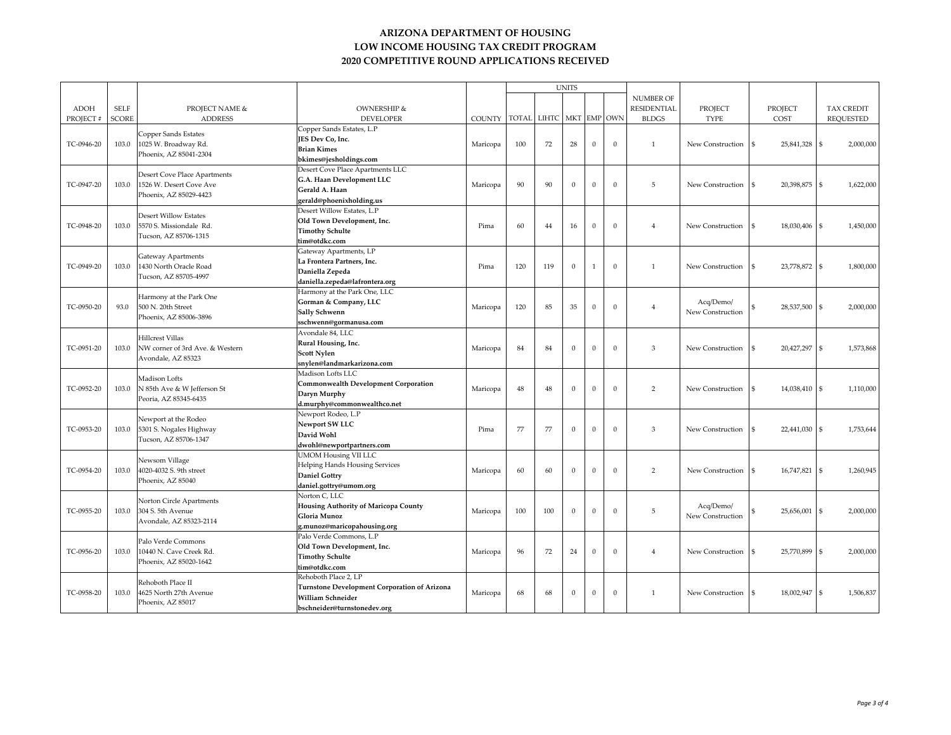|             |              |                                                                         |                                                     |               |              |              | <b>UNITS</b> |                |              |                    |                  |                                  |                   |
|-------------|--------------|-------------------------------------------------------------------------|-----------------------------------------------------|---------------|--------------|--------------|--------------|----------------|--------------|--------------------|------------------|----------------------------------|-------------------|
|             |              |                                                                         |                                                     |               |              |              |              |                |              | <b>NUMBER OF</b>   |                  |                                  |                   |
| <b>ADOH</b> | <b>SELF</b>  | <b>PROJECT NAME &amp;</b>                                               | <b>OWNERSHIP &amp;</b>                              |               |              |              |              |                |              | <b>RESIDENTIAL</b> | PROJECT          | <b>PROJECT</b>                   | <b>TAX CREDIT</b> |
| PROJECT#    | <b>SCORE</b> | <b>ADDRESS</b>                                                          | <b>DEVELOPER</b>                                    | <b>COUNTY</b> | <b>TOTAL</b> | <b>LIHTC</b> |              |                | MKT EMP OWN  | <b>BLDGS</b>       | <b>TYPE</b>      | COST                             | <b>REQUESTED</b>  |
|             |              |                                                                         | Copper Sands Estates, L.P                           |               |              |              |              |                |              |                    |                  |                                  |                   |
|             |              | Copper Sands Estates                                                    | JES Dev Co, Inc.                                    |               |              |              |              |                |              |                    |                  |                                  |                   |
| TC-0946-20  | 103.0        | 1025 W. Broadway Rd.                                                    | <b>Brian Kimes</b>                                  | Maricopa      | 100          | 72           | 28           | $\mathbf{0}$   | $\Omega$     | $\mathbf{1}$       | New Construction | 25,841,328<br>$\mathcal{S}$      | 2,000,000         |
|             |              | Phoenix, AZ 85041-2304                                                  | bkimes@jesholdings.com                              |               |              |              |              |                |              |                    |                  |                                  |                   |
|             |              |                                                                         |                                                     |               |              |              |              |                |              |                    |                  |                                  |                   |
|             |              | Desert Cove Place Apartments                                            | Desert Cove Place Apartments LLC                    |               |              |              |              |                |              |                    |                  |                                  |                   |
| TC-0947-20  | 103.0        | 1526 W. Desert Cove Ave                                                 | G.A. Haan Development LLC                           | Maricopa      | 90           | 90           | $\mathbf{0}$ | $\mathbf{0}$   | $\Omega$     | 5                  | New Construction | 20,398,875<br>$\mathcal{S}$      | 1,622,000         |
|             |              | Phoenix, AZ 85029-4423                                                  | Gerald A. Haan                                      |               |              |              |              |                |              |                    |                  |                                  |                   |
|             |              |                                                                         | gerald@phoenixholding.us                            |               |              |              |              |                |              |                    |                  |                                  |                   |
|             |              | <b>Desert Willow Estates</b>                                            | Desert Willow Estates, L.P                          |               |              |              |              |                |              |                    |                  |                                  |                   |
| TC-0948-20  | 103.0        | 5570 S. Missiondale Rd.                                                 | Old Town Development, Inc.                          | Pima          | 60           | 44           | 16           | $\mathbf{0}$   | $\Omega$     | $\overline{4}$     | New Construction | 18,030,406<br>$\mathcal{S}$      | 1,450,000         |
|             |              | Tucson, AZ 85706-1315                                                   | <b>Timothy Schulte</b>                              |               |              |              |              |                |              |                    |                  |                                  |                   |
|             |              |                                                                         | tim@otdkc.com                                       |               |              |              |              |                |              |                    |                  |                                  |                   |
|             |              | Gateway Apartments                                                      | Gateway Apartments, LP                              |               |              |              |              |                |              |                    |                  |                                  |                   |
| TC-0949-20  | 103.0        | 1430 North Oracle Road                                                  | La Frontera Partners, Inc.                          | Pima          | 120          | 119          | $\Omega$     | $\overline{1}$ | $\Omega$     | $\mathbf{1}$       | New Construction | 23,778,872                       | 1,800,000         |
|             |              | Tucson, AZ 85705-4997                                                   | Daniella Zepeda                                     |               |              |              |              |                |              |                    |                  |                                  |                   |
|             |              |                                                                         | daniella.zepeda@lafrontera.org                      |               |              |              |              |                |              |                    |                  |                                  |                   |
|             |              | Harmony at the Park One                                                 | Harmony at the Park One, LLC                        | Maricopa      | 120          |              |              |                |              | $\overline{4}$     | Acq/Demo/        |                                  |                   |
| TC-0950-20  | 93.0         | 500 N. 20th Street                                                      | Gorman & Company, LLC                               |               |              | 85           | 35           | $\mathbf{0}$   | $\Omega$     |                    |                  | 28,537,500                       | 2,000,000         |
|             |              | Phoenix, AZ 85006-3896                                                  | Sally Schwenn                                       |               |              |              |              |                |              |                    | New Construction |                                  |                   |
|             |              |                                                                         | sschwenn@gormanusa.com                              |               |              |              |              |                |              |                    |                  |                                  |                   |
|             |              | Hillcrest Villas                                                        | Avondale 84, LLC                                    |               |              |              |              |                |              |                    |                  |                                  |                   |
| TC-0951-20  | 103.0        | NW corner of 3rd Ave. & Western                                         | Rural Housing, Inc.                                 | Maricopa      | 84           | 84           | $\mathbf{0}$ | $\mathbf{0}$   | $\Omega$     | 3                  | New Construction | 20,427,297                       | 1,573,868         |
|             |              | Avondale, AZ 85323                                                      | Scott Nylen                                         |               |              |              |              |                |              |                    |                  |                                  |                   |
|             |              |                                                                         | snylen@landmarkarizona.com                          |               |              |              |              |                |              |                    |                  |                                  |                   |
|             |              | Madison Lofts<br>N 85th Ave & W Jefferson St                            | Madison Lofts LLC                                   |               |              |              |              |                |              |                    |                  |                                  |                   |
| TC-0952-20  | 103.0        |                                                                         | <b>Commonwealth Development Corporation</b>         | Maricopa      | 48           | 48           | $\mathbf{0}$ | $\mathbf{0}$   | $\Omega$     | $\overline{2}$     | New Construction | 14,038,410<br>$\mathbf{\hat{S}}$ | 1,110,000         |
|             |              | Peoria, AZ 85345-6435                                                   | Daryn Murphy                                        |               |              |              |              |                |              |                    |                  |                                  |                   |
|             |              |                                                                         | d.murphy@commonwealthco.net                         |               |              |              |              |                |              |                    |                  |                                  |                   |
|             |              | Newport at the Rodeo<br>5301 S. Nogales Highway                         | Newport Rodeo, L.P                                  |               |              |              |              |                |              |                    |                  |                                  |                   |
| TC-0953-20  |              |                                                                         | Newport SW LLC                                      | Pima          | 77           | 77           | $\Omega$     | $\mathbf{0}$   | $\Omega$     | 3                  | New Construction | 22,441,030<br>$\mathcal{S}$      | 1,753,644         |
|             | 103.0        | Tucson, AZ 85706-1347                                                   | David Wohl                                          |               |              |              |              |                |              |                    |                  |                                  |                   |
|             |              |                                                                         | dwohl@newportpartners.com                           |               |              |              |              |                |              |                    |                  |                                  |                   |
|             |              | Newsom Village                                                          | <b>UMOM Housing VII LLC</b>                         |               |              |              |              |                |              |                    |                  |                                  |                   |
| TC-0954-20  | 103.0        |                                                                         | <b>Helping Hands Housing Services</b>               |               | 60           | 60           | $\Omega$     | $\Omega$       | $\Omega$     | $\overline{2}$     |                  | $\mathcal{S}$                    |                   |
|             |              | 4020-4032 S. 9th street                                                 | <b>Daniel Gottry</b>                                | Maricopa      |              |              |              |                |              |                    | New Construction | 16,747,821                       | 1,260,945         |
|             |              | Phoenix, AZ 85040                                                       | daniel.gottry@umom.org                              |               |              |              |              |                |              |                    |                  |                                  |                   |
|             |              |                                                                         | Norton C, LLC                                       |               |              |              |              |                |              |                    |                  |                                  |                   |
|             |              | Norton Circle Apartments                                                | <b>Housing Authority of Maricopa County</b>         |               |              |              |              |                |              |                    | Acq/Demo/        |                                  |                   |
| TC-0955-20  | 103.0        | 304 S. 5th Avenue                                                       | Gloria Munoz                                        | Maricopa      | 100          | 100          | $\Omega$     | $\Omega$       | $\Omega$     | 5                  | New Construction | 25,656,001                       | 2,000,000         |
|             |              | Avondale, AZ 85323-2114                                                 | g.munoz@maricopahousing.org                         |               |              |              |              |                |              |                    |                  |                                  |                   |
|             |              |                                                                         | Palo Verde Commons, L.P                             |               |              |              |              |                |              |                    |                  |                                  |                   |
|             |              | Palo Verde Commons<br>10440 N. Cave Creek Rd.<br>Phoenix, AZ 85020-1642 | Old Town Development, Inc.                          |               |              |              |              |                |              |                    |                  |                                  |                   |
| TC-0956-20  | 103.0        |                                                                         | <b>Timothy Schulte</b>                              | Maricopa      | 96           | 72           | 24           | $\theta$       | $\mathbf{0}$ | $\overline{4}$     | New Construction | 25,770,899                       | 2,000,000         |
|             |              |                                                                         | tim@otdkc.com                                       |               |              |              |              |                |              |                    |                  |                                  |                   |
|             |              |                                                                         | Rehoboth Place 2, LP                                |               |              |              |              |                |              |                    |                  |                                  |                   |
|             |              | Rehoboth Place II                                                       | <b>Turnstone Development Corporation of Arizona</b> |               |              |              |              |                |              |                    |                  |                                  |                   |
| TC-0958-20  | 103.0        | 1625 North 27th Avenue                                                  | William Schneider                                   | Maricopa      | 68           | 68           | $\mathbf{0}$ | $\mathbf{0}$   | $\Omega$     | $\mathbf{1}$       | New Construction | 18,002,947<br>$\mathcal{S}$      | 1,506,837         |
|             |              | Phoenix, AZ 85017                                                       | bschneider@turnstonedev.org                         |               |              |              |              |                |              |                    |                  |                                  |                   |
|             |              |                                                                         |                                                     |               |              |              |              |                |              |                    |                  |                                  |                   |